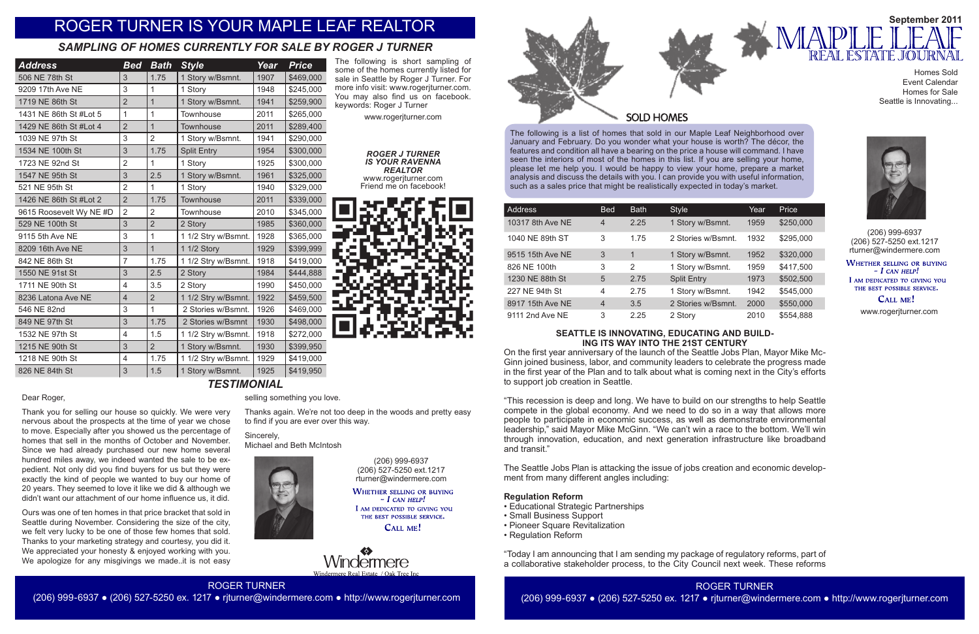The following is a list of homes that sold in our Maple Leaf Neighborhood over January and February. Do you wonder what your house is worth? The décor, the features and condition all have a bearing on the price a house will command. I have seen the interiors of most of the homes in this list. If you are selling your home, please let me help you. I would be happy to view your home, prepare a market analysis and discuss the details with you. I can provide you with useful information, such as a sales price that might be realistically expected in today's market.

| Address          | <b>Bed</b>     | <b>Bath</b> | <b>Style</b>       | Year | Price     |
|------------------|----------------|-------------|--------------------|------|-----------|
| 10317 8th Ave NE | $\overline{4}$ | 2.25        | 1 Story w/Bsmnt.   | 1959 | \$250,000 |
| 1040 NE 89th ST  | 3              | 1.75        | 2 Stories w/Bsmnt. | 1932 | \$295,000 |
| 9515 15th Ave NE | 3              | 1           | 1 Story w/Bsmnt.   | 1952 | \$320,000 |
| 826 NE 100th     | 3              | 2           | 1 Story w/Bsmnt.   | 1959 | \$417,500 |
| 1230 NE 88th St  | 5              | 2.75        | <b>Split Entry</b> | 1973 | \$502,500 |
| 227 NE 94th St   | 4              | 2.75        | 1 Story w/Bsmnt.   | 1942 | \$545,000 |
| 8917 15th Ave NE | $\overline{4}$ | 3.5         | 2 Stories w/Bsmnt. | 2000 | \$550,000 |
| 9111 2nd Ave NE  | 3              | 2.25        | 2 Story            | 2010 | \$554,888 |



(206) 999-6937 (206) 527-5250 ext.1217 rturner@windermere.com

WHETHER SELLING OR BUYING  $-I$  CAN HELP! I AM DEDICATED TO GIVING YOU THE BEST POSSIBLE SERVICE.

CALL ME!

(206) 999-6937 (206) 527-5250 ext.1217 rturner@windermere.com

**WHETHER SELLING OR BUYING**  $-$  I can help! I AM DEDICATED TO GIVING YOU THE BEST POSSIBLE SERVICE.

CALL ME!

*Nindermere* 

www.rogerjturner.com

www.rogerjturner.com

# ROGER TURNER

(206) 999-6937 ● (206) 527-5250 ex. 1217 ● rjturner@windermere.com ● http://www.rogerjturner.com



Thank you for selling our house so quickly. We were very nervous about the prospects at the time of year we chose to move. Especially after you showed us the percentage of homes that sell in the months of October and November. Since we had already purchased our new home several hundred miles away, we indeed wanted the sale to be expedient. Not only did you find buyers for us but they were exactly the kind of people we wanted to buy our home of 20 years. They seemed to love it like we did & although we didn't want our attachment of our home influence us, it did.

Ours was one of ten homes in that price bracket that sold in Seattle during November. Considering the size of the city, we felt very lucky to be one of those few homes that sold. Thanks to your marketing strategy and courtesy, you did it. We appreciated your honesty & enjoyed working with you. We apologize for any misgivings we made..it is not easy

# ROGER TURNER IS YOUR MAPLE LEAF REALTOR

| <b>Address</b>          | <b>Bed</b>              | <b>Bath</b>    | <b>Style</b>        | Year | <b>Price</b> |
|-------------------------|-------------------------|----------------|---------------------|------|--------------|
| 506 NE 78th St          | 3                       | 1.75           | 1 Story w/Bsmnt.    | 1907 | \$469,000    |
| 9209 17th Ave NE        | 3                       | $\mathbf{1}$   | 1 Story             | 1948 | \$245,000    |
| 1719 NE 86th St         | $\overline{2}$          | $\overline{1}$ | 1 Story w/Bsmnt.    | 1941 | \$259,900    |
| 1431 NE 86th St #Lot 5  | 1                       | 1              | Townhouse           | 2011 | \$265,000    |
| 1429 NE 86th St #Lot 4  | $\overline{2}$          | $\mathbf{1}$   | Townhouse           | 2011 | \$289,400    |
| 1039 NE 97th St         | 3                       | $\overline{2}$ | 1 Story w/Bsmnt.    | 1941 | \$290,000    |
| 1534 NE 100th St        | 3                       | 1.75           | <b>Split Entry</b>  | 1954 | \$300,000    |
| 1723 NE 92nd St         | $\overline{2}$          | 1              | 1 Story             | 1925 | \$300,000    |
| 1547 NE 95th St         | 3                       | 2.5            | 1 Story w/Bsmnt.    | 1961 | \$325,000    |
| 521 NE 95th St          | $\overline{2}$          | 1              | 1 Story             | 1940 | \$329,000    |
| 1426 NE 86th St #Lot 2  | $\overline{2}$          | 1.75           | Townhouse           | 2011 | \$339,000    |
| 9615 Roosevelt Wy NE #D | $\overline{2}$          | $\overline{2}$ | Townhouse           | 2010 | \$345,000    |
| 529 NE 100th St         | 3                       | $\overline{2}$ | 2 Story             | 1985 | \$360,000    |
| 9115 5th Ave NE         | 3                       | 1              | 1 1/2 Stry w/Bsmnt. | 1928 | \$365,000    |
| 8209 16th Ave NE        | 3                       | $\overline{1}$ | 1 1/2 Story         | 1929 | \$399,999    |
| 842 NE 86th St          | $\overline{7}$          | 1.75           | 1 1/2 Stry w/Bsmnt. | 1918 | \$419,000    |
| 1550 NE 91st St         | 3                       | 2.5            | 2 Story             | 1984 | \$444,888    |
| 1711 NE 90th St         | $\overline{4}$          | 3.5            | 2 Story             | 1990 | \$450,000    |
| 8236 Latona Ave NE      | $\overline{4}$          | $\overline{2}$ | 1 1/2 Stry w/Bsmnt. | 1922 | \$459,500    |
| 546 NE 82nd             | 3                       | $\mathbf{1}$   | 2 Stories w/Bsmnt.  | 1926 | \$469,000    |
| 849 NE 97th St          | 3                       | 1.75           | 2 Stories w/Bsmnt   | 1930 | \$498,000    |
| 1532 NE 97th St         | $\overline{4}$          | 1.5            | 1 1/2 Stry w/Bsmnt. | 1918 | \$272,000    |
| 1215 NE 90th St         | 3                       | $\overline{2}$ | 1 Story w/Bsmnt.    | 1930 | \$399,950    |
| 1218 NE 90th St         | $\overline{\mathbf{4}}$ | 1.75           | 1 1/2 Stry w/Bsmnt. | 1929 | \$419,000    |
| 826 NE 84th St          | 3                       | 1.5            | 1 Story w/Bsmnt.    | 1925 | \$419,950    |
|                         |                         |                | TESTIMONIAL         |      |              |

# *SAMPLING OF HOMES CURRENTLY FOR SALE BY ROGER J TURNER*

#### The following is short sampling of some of the homes currently listed for sale in Seattle by Roger J Turner. For more info visit: www.rogerjturner.com. You may also find us on facebook. keywords: Roger J Turner

### **SEATTLE IS INNOVATING, EDUCATING AND BUILD-ING ITS WAY INTO THE 21ST CENTURY**

On the first year anniversary of the launch of the Seattle Jobs Plan, Mayor Mike Mc-Ginn joined business, labor, and community leaders to celebrate the progress made in the first year of the Plan and to talk about what is coming next in the City's efforts to support job creation in Seattle.

"This recession is deep and long. We have to build on our strengths to help Seattle compete in the global economy. And we need to do so in a way that allows more people to participate in economic success, as well as demonstrate environmental leadership," said Mayor Mike McGinn. "We can't win a race to the bottom. We'll win through innovation, education, and next generation infrastructure like broadband and transit."

The Seattle Jobs Plan is attacking the issue of jobs creation and economic development from many different angles including:

### **Regulation Reform**

- Educational Strategic Partnerships
- Small Business Support
- Pioneer Square Revitalization
- Regulation Reform

"Today I am announcing that I am sending my package of regulatory reforms, part of a collaborative stakeholder process, to the City Council next week. These reforms

#### *ROGER J TURNER IS YOUR RAVENNA REALTOR* www.rogerjturner.com Friend me on facebook!



#### Dear Roger,

selling something you love.

Thanks again. We're not too deep in the woods and pretty easy to find if you are ever over this way.

Sincerely, Michael and Beth McIntosh